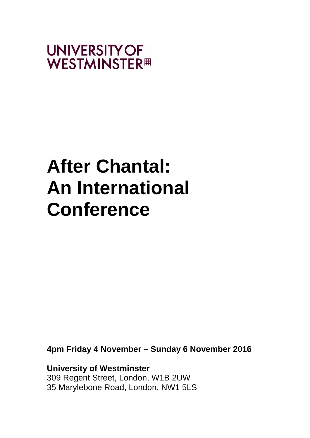

# **After Chantal: An International Conference**

**4pm Friday 4 November – Sunday 6 November 2016**

**University of Westminster** 309 Regent Street, London, W1B 2UW 35 Marylebone Road, London, NW1 5LS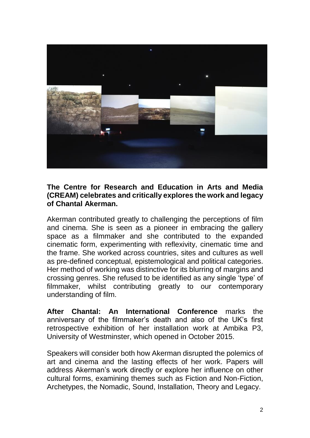

## **The Centre for Research and Education in Arts and Media (CREAM) celebrates and critically explores the work and legacy of Chantal Akerman.**

Akerman contributed greatly to challenging the perceptions of film and cinema. She is seen as a pioneer in embracing the gallery space as a filmmaker and she contributed to the expanded cinematic form, experimenting with reflexivity, cinematic time and the frame. She worked across countries, sites and cultures as well as pre-defined conceptual, epistemological and political categories. Her method of working was distinctive for its blurring of margins and crossing genres. She refused to be identified as any single 'type' of filmmaker, whilst contributing greatly to our contemporary understanding of film.

**After Chantal: An International Conference** marks the anniversary of the filmmaker's death and also of the UK's first retrospective exhibition of her installation work at Ambika P3, University of Westminster, which opened in October 2015.

Speakers will consider both how Akerman disrupted the polemics of art and cinema and the lasting effects of her work. Papers will address Akerman's work directly or explore her influence on other cultural forms, examining themes such as Fiction and Non-Fiction, Archetypes, the Nomadic, Sound, Installation, Theory and Legacy.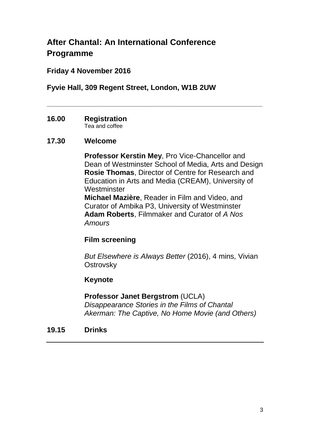# **After Chantal: An International Conference Programme**

# **Friday 4 November 2016**

## **Fyvie Hall, 309 Regent Street, London, W1B 2UW**

**\_\_\_\_\_\_\_\_\_\_\_\_\_\_\_\_\_\_\_\_\_\_\_\_\_\_\_\_\_\_\_\_\_\_\_\_\_\_\_\_\_\_\_\_\_\_\_\_\_\_\_\_\_\_\_\_\_\_\_\_\_\_**

**16.00 Registration** Tea and coffee

## **17.30 Welcome**

**Professor Kerstin Mey**, Pro Vice-Chancellor and Dean of Westminster School of Media, Arts and Design **Rosie Thomas**, Director of Centre for Research and Education in Arts and Media (CREAM), University of **Westminster** 

**Michael Mazière**, Reader in Film and Video, and Curator of Ambika P3, University of Westminster **Adam Roberts**, Filmmaker and Curator of *A Nos Amours*

## **Film screening**

*But Elsewhere is Always Better* (2016), 4 mins, Vivian **Ostrovsky** 

## **Keynote**

## **Professor Janet Bergstrom** (UCLA)

*Disappearance Stories in the Films of Chantal Akerman: The Captive, No Home Movie (and Others)*

**19.15 Drinks**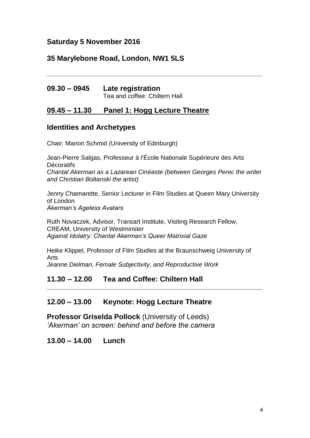## **Saturday 5 November 2016**

## **35 Marylebone Road, London, NW1 5LS**

| $09.30 - 0945$ | Late registration             |
|----------------|-------------------------------|
|                | Tea and coffee: Chiltern Hall |

## **09.45 – 11.30 Panel 1: Hogg Lecture Theatre**

## **Identities and Archetypes**

Chair: Marion Schmid (University of Edinburgh)

Jean-Pierre Salgas, Professeur à l'École Nationale Supérieure des Arts **Décoratifs** *Chantal Akerman as a Lazarean Cinéaste (between Georges Perec the writer and Christian Boltanski the artist)*

**\_\_\_\_\_\_\_\_\_\_\_\_\_\_\_\_\_\_\_\_\_\_\_\_\_\_\_\_\_\_\_\_\_\_\_\_\_\_\_\_\_\_\_\_\_\_\_\_\_\_\_\_\_\_\_\_\_\_\_\_\_\_**

Jenny Chamarette, Senior Lecturer in Film Studies at Queen Mary University of London *Akerman's Ageless Avatars*

Ruth Novaczek, Advisor, Transart Institute, Visiting Research Fellow, CREAM, University of Westminster *Against Idolatry: Chantal Akerman's Queer Matrixial Gaze*

Heike Klippel, Professor of Film Studies at the Braunschweig University of Arts *Jeanne Dielman, Female Subjectivity, and Reproductive Work*

**\_\_\_\_\_\_\_\_\_\_\_\_\_\_\_\_\_\_\_\_\_\_\_\_\_\_\_\_\_\_\_\_\_\_\_\_\_\_\_\_\_\_\_\_\_\_\_\_\_\_\_\_\_\_\_\_\_\_\_\_\_\_**

## **11.30 – 12.00 Tea and Coffee: Chiltern Hall**

## **12.00 – 13.00 Keynote: Hogg Lecture Theatre**

**Professor Griselda Pollock** (University of Leeds) *'Akerman' on screen: behind and before the camera*

## **13.00 – 14.00 Lunch**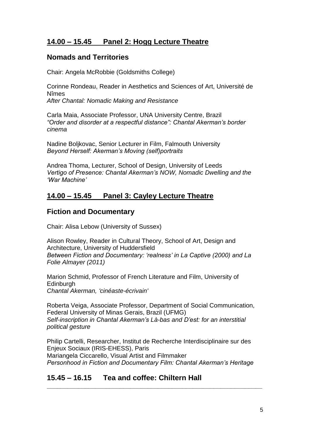## **14.00 – 15.45 Panel 2: Hogg Lecture Theatre**

## **Nomads and Territories**

Chair: Angela McRobbie (Goldsmiths College)

Corinne Rondeau, Reader in Aesthetics and Sciences of Art, Université de Nîmes *After Chantal: Nomadic Making and Resistance*

Carla Maia, Associate Professor, UNA University Centre, Brazil *"Order and disorder at a respectful distance": Chantal Akerman's border cinema*

Nadine Boljkovac, Senior Lecturer in Film, Falmouth University *Beyond Herself: Akerman's Moving (self)portraits*

Andrea Thoma, Lecturer, School of Design, University of Leeds *Vertigo of Presence: Chantal Akerman's NOW, Nomadic Dwelling and the 'War Machine'*

# **14.00 – 15.45 Panel 3: Cayley Lecture Theatre**

## **Fiction and Documentary**

Chair: Alisa Lebow (University of Sussex)

Alison Rowley, Reader in Cultural Theory, School of Art, Design and Architecture, University of Huddersfield *Between Fiction and Documentary: 'realness' in La Captive (2000) and La Folie Almayer (2011)*

Marion Schmid, Professor of French Literature and Film, University of **Edinburgh** *Chantal Akerman, 'cinéaste-écrivain'* 

Roberta Veiga, Associate Professor, Department of Social Communication, Federal University of Minas Gerais, Brazil (UFMG) *Self-inscription in Chantal Akerman's Là-bas and D'est: for an interstitial political gesture*

Philip Cartelli, Researcher, Institut de Recherche Interdisciplinaire sur des Enjeux Sociaux (IRIS-EHESS), Paris Mariangela Ciccarello, Visual Artist and Filmmaker *Personhood in Fiction and Documentary Film: Chantal Akerman's Heritage*

**\_\_\_\_\_\_\_\_\_\_\_\_\_\_\_\_\_\_\_\_\_\_\_\_\_\_\_\_\_\_\_\_\_\_\_\_\_\_\_\_\_\_\_\_\_\_\_\_\_\_\_\_\_\_\_\_\_\_\_\_\_\_**

# **15.45 – 16.15 Tea and coffee: Chiltern Hall**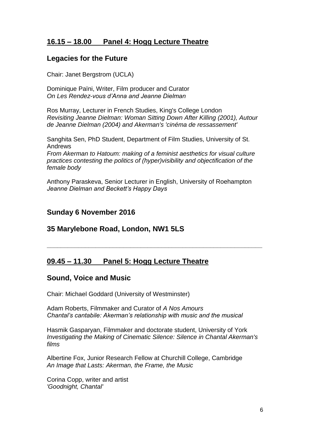## **16.15 – 18.00 Panel 4: Hogg Lecture Theatre**

## **Legacies for the Future**

Chair: Janet Bergstrom (UCLA)

Dominique Païni, Writer, Film producer and Curator *On Les Rendez-vous d'Anna and Jeanne Dielman*

Ros Murray, Lecturer in French Studies, King's College London *Revisiting Jeanne Dielman: Woman Sitting Down After Killing (2001), Autour de Jeanne Dielman (2004) and Akerman's 'cinéma de ressassement'*

Sanghita Sen, PhD Student, Department of Film Studies, University of St. Andrews

*From Akerman to Hatoum: making of a feminist aesthetics for visual culture practices contesting the politics of (hyper)visibility and objectification of the female body*

Anthony Paraskeva, Senior Lecturer in English, University of Roehampton *Jeanne Dielman and Beckett's Happy Days*

**\_\_\_\_\_\_\_\_\_\_\_\_\_\_\_\_\_\_\_\_\_\_\_\_\_\_\_\_\_\_\_\_\_\_\_\_\_\_\_\_\_\_\_\_\_\_\_\_\_\_\_\_\_\_\_\_\_\_\_\_\_\_**

## **Sunday 6 November 2016**

## **35 Marylebone Road, London, NW1 5LS**

## **09.45 – 11.30 Panel 5: Hogg Lecture Theatre**

## **Sound, Voice and Music**

Chair: Michael Goddard (University of Westminster)

Adam Roberts, Filmmaker and Curator of *A Nos Amours Chantal's cantabile: Akerman's relationship with music and the musical*

Hasmik Gasparyan, Filmmaker and doctorate student, University of York *Investigating the Making of Cinematic Silence: Silence in Chantal Akerman's films*

Albertine Fox, Junior Research Fellow at Churchill College, Cambridge *An Image that Lasts: Akerman, the Frame, the Music*

Corina Copp, writer and artist *'Goodnight, Chantal'*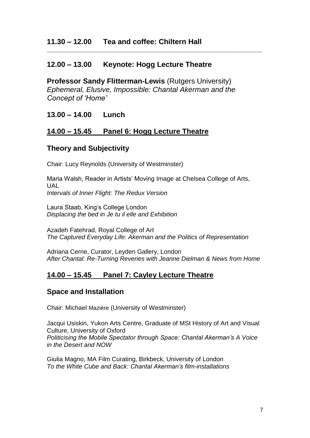## **12.00 – 13.00 Keynote: Hogg Lecture Theatre**

**Professor Sandy Flitterman-Lewis** (Rutgers University) *Ephemeral, Elusive, Impossible: Chantal Akerman and the Concept of 'Home'*

**\_\_\_\_\_\_\_\_\_\_\_\_\_\_\_\_\_\_\_\_\_\_\_\_\_\_\_\_\_\_\_\_\_\_\_\_\_\_\_\_\_\_\_\_\_\_\_\_\_\_\_\_\_\_\_\_\_\_\_\_\_\_**

**13.00 – 14.00 Lunch**

## **14.00 – 15.45 Panel 6: Hogg Lecture Theatre**

## **Theory and Subjectivity**

Chair: Lucy Reynolds (University of Westminster)

Maria Walsh, Reader in Artists' Moving Image at Chelsea College of Arts, UAL *Intervals of Inner Flight: The Redux Version*

Laura Staab, King's College London *Displacing the bed in Je tu il elle and Exhibition* 

Azadeh Fatehrad, Royal College of Art *The Captured Everyday Life: Akerman and the Politics of Representation*

Adriana Cerne, Curator, Leyden Gallery, London *After Chantal: Re-Turning Reveries with Jeanne Dielman & News from Home*

## **14.00 – 15.45 Panel 7: Cayley Lecture Theatre**

## **Space and Installation**

Chair: Michael Mazière (University of Westminster)

Jacqui Usiskin, Yukon Arts Centre, Graduate of MSt History of Art and Visual Culture, University of Oxford *Politicising the Mobile Spectator through Space: Chantal Akerman's A Voice in the Desert and NOW*

Giulia Magno, MA Film Curating, Birkbeck, University of London *To the White Cube and Back: Chantal Akerman's film-installations*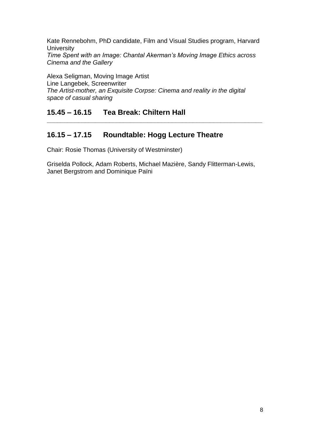Kate Rennebohm, PhD candidate, Film and Visual Studies program, Harvard **University** 

*Time Spent with an Image: Chantal Akerman's Moving Image Ethics across Cinema and the Gallery*

Alexa Seligman, Moving Image Artist Line Langebek, Screenwriter *The Artist-mother, an Exquisite Corpse: Cinema and reality in the digital space of casual sharing*

# **15.45 – 16.15 Tea Break: Chiltern Hall**

# **16.15 – 17.15 Roundtable: Hogg Lecture Theatre**

Chair: Rosie Thomas (University of Westminster)

Griselda Pollock, Adam Roberts, Michael Mazière, Sandy Flitterman-Lewis, Janet Bergstrom and Dominique Païni

**\_\_\_\_\_\_\_\_\_\_\_\_\_\_\_\_\_\_\_\_\_\_\_\_\_\_\_\_\_\_\_\_\_\_\_\_\_\_\_\_\_\_\_\_\_\_\_\_\_\_\_\_\_\_\_\_\_\_\_\_\_\_**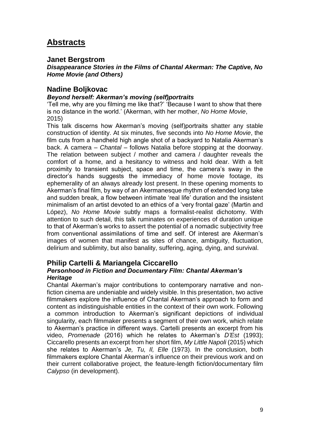# **Abstracts**

## **Janet Bergstrom**

*Disappearance Stories in the Films of Chantal Akerman: The Captive, No Home Movie (and Others)*

#### **Nadine Boljkovac**

#### *Beyond herself: Akerman's moving (self)portraits*

'Tell me, why are you filming me like that?' 'Because I want to show that there is no distance in the world.' (Akerman, with her mother, *No Home Movie*, 2015)

This talk discerns how Akerman's moving (self)portraits shatter any stable construction of identity. At six minutes, five seconds into *No Home Movie*, the film cuts from a handheld high angle shot of a backyard to Natalia Akerman's back. A camera – *Chantal* – follows Natalia before stopping at the doorway. The relation between subject / mother and camera / daughter reveals the comfort of a home, and a hesitancy to witness and hold dear. With a felt proximity to transient subject, space and time, the camera's sway in the director's hands suggests the immediacy of home movie footage, its ephemerality of an always already lost present. In these opening moments to Akerman's final film, by way of an Akermanesque rhythm of extended long take and sudden break, a flow between intimate 'real life' duration and the insistent minimalism of an artist devoted to an ethics of a 'very frontal gaze' (Martin and López), *No Home Movie* subtly maps a formalist-realist dichotomy. With attention to such detail, this talk ruminates on experiences of duration unique to that of Akerman's works to assert the potential of a nomadic subjectivity free from conventional assimilations of time and self. Of interest are Akerman's images of women that manifest as sites of chance, ambiguity, fluctuation, delirium and sublimity, but also banality, suffering, aging, dying, and survival.

## **Philip Cartelli & Mariangela Ciccarello**

#### *Personhood in Fiction and Documentary Film: Chantal Akerman's Heritage*

Chantal Akerman's major contributions to contemporary narrative and nonfiction cinema are undeniable and widely visible. In this presentation, two active filmmakers explore the influence of Chantal Akerman's approach to form and content as indistinguishable entities in the context of their own work. Following a common introduction to Akerman's significant depictions of individual singularity, each filmmaker presents a segment of their own work, which relate to Akerman's practice in different ways. Cartelli presents an excerpt from his video, *Promenade* (2016) which he relates to Akerman's *D'Est* (1993); Ciccarello presents an excerpt from her short film, *My Little Napoli* (2015) which she relates to Akerman's *Je, Tu, Il, Elle* (1973). In the conclusion, both filmmakers explore Chantal Akerman's influence on their previous work and on their current collaborative project, the feature-length fiction/documentary film *Calypso* (in development).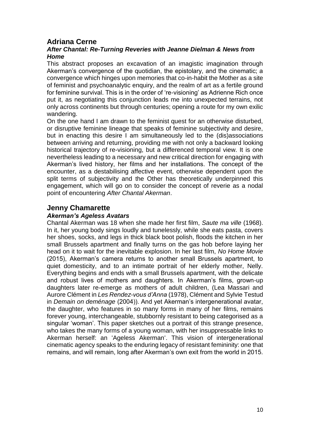## **Adriana Cerne**

#### *After Chantal: Re-Turning Reveries with Jeanne Dielman & News from Home*

This abstract proposes an excavation of an imagistic imagination through Akerman's convergence of the quotidian, the epistolary, and the cinematic; a convergence which hinges upon memories that co-in-habit the Mother as a site of feminist and psychoanalytic enquiry, and the realm of art as a fertile ground for feminine survival. This is in the order of 're-visioning' as Adrienne Rich once put it, as negotiating this conjunction leads me into unexpected terrains, not only across continents but through centuries; opening a route for my own exilic wandering.

On the one hand I am drawn to the feminist quest for an otherwise disturbed, or disruptive feminine lineage that speaks of feminine subjectivity and desire, but in enacting this desire I am simultaneously led to the (dis)associations between arriving and returning, providing me with not only a backward looking historical trajectory of re-visioning, but a differenced temporal view. It is one nevertheless leading to a necessary and new critical direction for engaging with Akerman's lived history, her films and her installations. The concept of the encounter, as a destabilising affective event, otherwise dependent upon the split terms of subjectivity and the Other has theoretically underpinned this engagement, which will go on to consider the concept of reverie as a nodal point of encountering *After Chantal Akerman*.

## **Jenny Chamarette**

#### *Akerman's Ageless Avatars*

Chantal Akerman was 18 when she made her first film, *Saute ma ville* (1968). In it, her young body sings loudly and tunelessly, while she eats pasta, covers her shoes, socks, and legs in thick black boot polish, floods the kitchen in her small Brussels apartment and finally turns on the gas hob before laying her head on it to wait for the inevitable explosion. In her last film, *No Home Movie* (2015), Akerman's camera returns to another small Brussels apartment, to quiet domesticity, and to an intimate portrait of her elderly mother, Nelly. Everything begins and ends with a small Brussels apartment, with the delicate and robust lives of mothers and daughters. In Akerman's films, grown-up daughters later re-emerge as mothers of adult children, (Lea Massari and Aurore Clément in *Les Rendez-vous d'Anna* (1978), Clément and Sylvie Testud in *Demain on deménage* (2004)). And yet Akerman's intergenerational avatar, the daughter, who features in so many forms in many of her films, remains forever young, interchangeable, stubbornly resistant to being categorised as a singular 'woman'. This paper sketches out a portrait of this strange presence, who takes the many forms of a young woman, with her insuppressable links to Akerman herself: an 'Ageless Akerman'. This vision of intergenerational cinematic agency speaks to the enduring legacy of resistant femininity: one that remains, and will remain, long after Akerman's own exit from the world in 2015.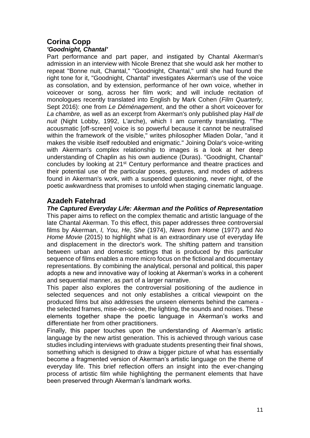# **Corina Copp**

## *'Goodnight, Chantal'*

Part performance and part paper, and instigated by Chantal Akerman's admission in an interview with Nicole Brenez that she would ask her mother to repeat "Bonne nuit, Chantal," "Goodnight, Chantal," until she had found the right tone for it, "Goodnight, Chantal" investigates Akerman's use of the voice as consolation, and by extension, performance of her own voice, whether in voiceover or song, across her film work; and will include recitation of monologues recently translated into English by Mark Cohen (*Film Quarterly,*  Sept 2016): one from *Le Déménagement*, and the other a short voiceover for *La chambre,* as well as an excerpt from Akerman's only published play *Hall de nuit* (Night Lobby, 1992, L'arche), which I am currently translating. "The acousmatic [off-screen] voice is so powerful because it cannot be neutralised within the framework of the visible," writes philosopher Mladen Dolar, "and it makes the visible itself redoubled and enigmatic." Joining Dolar's voice-writing with Akerman's complex relationship to images is a look at her deep understanding of Chaplin as his own audience (Duras). "Goodnight, Chantal" concludes by looking at 21<sup>st</sup> Century performance and theatre practices and their potential use of the particular poses, gestures, and modes of address found in Akerman's work, with a suspended questioning, never night, of the poetic awkwardness that promises to unfold when staging cinematic language.

## **Azadeh Fatehrad**

*The Captured Everyday Life: Akerman and the Politics of Representation*  This paper aims to reflect on the complex thematic and artistic language of the late Chantal Akerman. To this effect, this paper addresses three controversial films by Akerman, *I, You, He, She* (1974), *News from Home* (1977) and *No Home Movie* (2015) to highlight what is an extraordinary use of everyday life and displacement in the director's work. The shifting pattern and transition between urban and domestic settings that is produced by this particular sequence of films enables a more micro focus on the fictional and documentary representations. By combining the analytical, personal and political, this paper adopts a new and innovative way of looking at Akerman's works in a coherent and sequential manner, as part of a larger narrative.

This paper also explores the controversial positioning of the audience in selected sequences and not only establishes a critical viewpoint on the produced films but also addresses the unseen elements behind the camera the selected frames, mise-en-scène, the lighting, the sounds and noises. These elements together shape the poetic language in Akerman's works and differentiate her from other practitioners.

Finally, this paper touches upon the understanding of Akerman's artistic language by the new artist generation. This is achieved through various case studies including interviews with graduate students presenting their final shows, something which is designed to draw a bigger picture of what has essentially become a fragmented version of Akerman's artistic language on the theme of everyday life. This brief reflection offers an insight into the ever-changing process of artistic film while highlighting the permanent elements that have been preserved through Akerman's landmark works.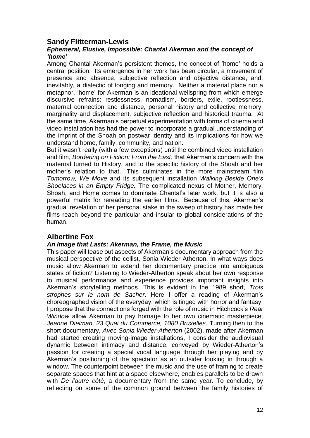## **Sandy Flitterman-Lewis**

#### *Ephemeral, Elusive, Impossible: Chantal Akerman and the concept of 'home'*

Among Chantal Akerman's persistent themes, the concept of 'home' holds a central position. Its emergence in her work has been circular, a movement of presence and absence, subjective reflection and objective distance, and, inevitably, a dialectic of longing and memory. Neither a material place nor a metaphor, 'home' for Akerman is an ideational wellspring from which emerge discursive refrains: restlessness, nomadism, borders, exile, rootlessness, maternal connection and distance, personal history and collective memory, marginality and displacement, subjective reflection and historical trauma. At the same time, Akerman's perpetual experimentation with forms of cinema and video installation has had the power to incorporate a gradual understanding of the imprint of the Shoah on postwar identity and its implications for how we understand home, family, community, and nation.

But it wasn't really (with a few exceptions) until the combined video installation and film, *Bordering on Fiction: From the East*, that Akerman's concern with the maternal turned to History, and to the specific history of the Shoah and her mother's relation to that. This culminates in the more mainstream film *Tomorrow, We Move* and its subsequent installation *Walking Beside One's Shoelaces in an Empty Fridge.* The complicated nexus of Mother, Memory, Shoah, and Home comes to dominate Chantal's later work, but it is also a powerful matrix for rereading the earlier films. Because of this, Akerman's gradual revelation of her personal stake in the sweep of history has made her films reach beyond the particular and insular to global considerations of the human.

## **Albertine Fox**

#### *An Image that Lasts: Akerman, the Frame, the Music*

This paper will tease out aspects of Akerman's documentary approach from the musical perspective of the cellist, Sonia Wieder-Atherton. In what ways does music allow Akerman to extend her documentary practice into ambiguous states of fiction? Listening to Wieder-Atherton speak about her own response to musical performance and experience provides important insights into Akerman's storytelling methods. This is evident in the 1989 short, *Trois strophes sur le nom de Sacher*. Here I offer a reading of Akerman's choreographed vision of the everyday, which is tinged with horror and fantasy. I propose that the connections forged with the role of music in Hitchcock's *Rear Window* allow Akerman to pay homage to her own cinematic masterpiece, *Jeanne Dielman, 23 Quai du Commerce, 1080 Bruxelles*. Turning then to the short documentary, *Avec Sonia Wieder-Atherton* (2002), made after Akerman had started creating moving-image installations, I consider the audiovisual dynamic between intimacy and distance, conveyed by Wieder-Atherton's passion for creating a special vocal language through her playing and by Akerman's positioning of the spectator as an outsider looking in through a window. The counterpoint between the music and the use of framing to create separate spaces that hint at a space elsewhere, enables parallels to be drawn with *De l'autre côté*, a documentary from the same year. To conclude, by reflecting on some of the common ground between the family histories of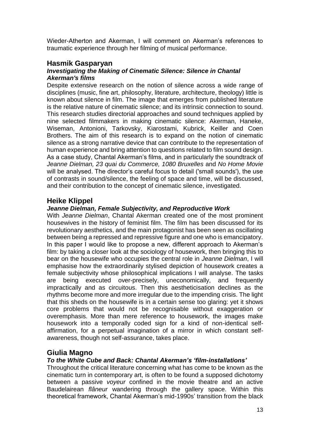Wieder-Atherton and Akerman, I will comment on Akerman's references to traumatic experience through her filming of musical performance.

#### **Hasmik Gasparyan** *Investigating the Making of Cinematic Silence: Silence in Chantal Akerman's films*

Despite extensive research on the notion of silence across a wide range of disciplines (music, fine art, philosophy, literature, architecture, theology) little is known about silence in film. The image that emerges from published literature is the relative nature of cinematic silence; and its intrinsic connection to sound. This research studies directorial approaches and sound techniques applied by nine selected filmmakers in making cinematic silence: Akerman, Haneke, Wiseman, Antonioni, Tarkovsky, Kiarostami, Kubrick, Keiller and Coen Brothers. The aim of this research is to expand on the notion of cinematic silence as a strong narrative device that can contribute to the representation of human experience and bring attention to questions related to film sound design. As a case study, Chantal Akerman's films, and in particularly the soundtrack of *Jeanne Dielman, 23 quai du Commerce, 1080 Bruxelles* and *No Home Movie* will be analysed. The director's careful focus to detail ('small sounds'), the use of contrasts in sound/silence, the feeling of space and time, will be discussed, and their contribution to the concept of cinematic silence, investigated.

## **Heike Klippel**

#### *Jeanne Dielman, Female Subjectivity, and Reproductive Work*

With *Jeanne Dielman*, Chantal Akerman created one of the most prominent housewives in the history of feminist film. The film has been discussed for its revolutionary aesthetics, and the main protagonist has been seen as oscillating between being a repressed and repressive figure and one who is emancipatory. In this paper I would like to propose a new, different approach to Akerman's film: by taking a closer look at the sociology of housework, then bringing this to bear on the housewife who occupies the central role in *Jeanne Dielman*, I will emphasise how the extraordinarily stylised depiction of housework creates a female subjectivity whose philosophical implications I will analyse. The tasks are being executed over-precisely, uneconomically, and frequently impractically and as circuitous. Then this aestheticisation declines as the rhythms become more and more irregular due to the impending crisis. The light that this sheds on the housewife is in a certain sense too glaring: yet it shows core problems that would not be recognisable without exaggeration or overemphasis. More than mere reference to housework, the images make housework into a temporally coded sign for a kind of non-identical selfaffirmation, for a perpetual imagination of a mirror in which constant selfawareness, though not self-assurance, takes place.

## **Giulia Magno**

## *To the White Cube and Back: Chantal Akerman's 'film-installations'*

Throughout the critical literature concerning what has come to be known as the cinematic turn in contemporary art, is often to be found a supposed dichotomy between a passive *voyeur* confined in the movie theatre and an active Baudelairean *flâneur* wandering through the gallery space. Within this theoretical framework, Chantal Akerman's mid-1990s' transition from the black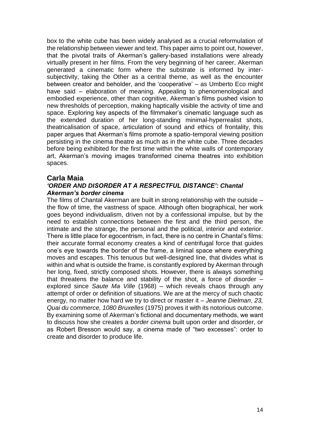box to the white cube has been widely analysed as a crucial reformulation of the relationship between viewer and text. This paper aims to point out, however, that the pivotal traits of Akerman's gallery-based installations were already virtually present in her films. From the very beginning of her career, Akerman generated a cinematic form where the substrate is informed by intersubjectivity, taking the Other as a central theme, as well as the encounter between creator and beholder, and the 'cooperative' – as Umberto Eco might have said – elaboration of meaning. Appealing to phenomenological and embodied experience, other than cognitive, Akerman's films pushed vision to new thresholds of perception, making haptically visible the activity of time and space. Exploring key aspects of the filmmaker's cinematic language such as the extended duration of her long-standing minimal-hyperrealist shots, theatricalisation of space, articulation of sound and ethics of frontality, this paper argues that Akerman's films promote a spatio-temporal viewing position persisting in the cinema theatre as much as in the white cube. Three decades before being exhibited for the first time within the white walls of contemporary art, Akerman's moving images transformed cinema theatres into exhibition spaces.

## **Carla Maia**

## *'ORDER AND DISORDER AT A RESPECTFUL DISTANCE': Chantal Akerman's border cinema*

The films of Chantal Akerman are built in strong relationship with the outside – the flow of time, the vastness of space. Although often biographical, her work goes beyond individualism, driven not by a confessional impulse, but by the need to establish connections between the first and the third person, the intimate and the strange, the personal and the political, interior and exterior. There is little place for egocentrism, in fact, there is no centre in Chantal's films: their accurate formal economy creates a kind of centrifugal force that guides one's eye towards the border of the frame, a liminal space where everything moves and escapes. This tenuous but well-designed line, that divides what is within and what is outside the frame, is constantly explored by Akerman through her long, fixed, strictly composed shots. However, there is always something that threatens the balance and stability of the shot, a force of disorder – explored since *Saute Ma Ville* (1968) – which reveals chaos through any attempt of order or definition of situations. We are at the mercy of such chaotic energy, no matter how hard we try to direct or master it – *Jeanne Dielman*, *23, Quai du commerce, 1080 Bruxelles* (1975) proves it with its notorious outcome. By examining some of Akerman's fictional and documentary methods, we want to discuss how she creates a *border cinema* built upon order and disorder, or as Robert Bresson would say, a cinema made of "two excesses": order to create and disorder to produce life.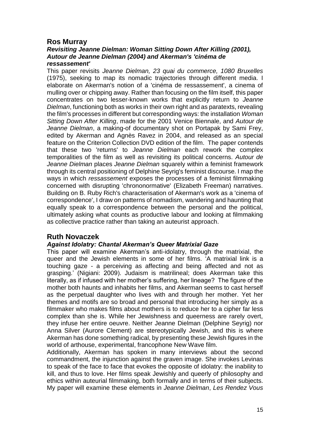## **Ros Murray**

#### *Revisiting Jeanne Dielman: Woman Sitting Down After Killing (2001), Autour de Jeanne Dielman (2004) and Akerman's 'cinéma de ressassement'*

This paper revisits *Jeanne Dielman, 23 quai du commerce, 1080 Bruxelles* (1975), seeking to map its nomadic trajectories through different media. I elaborate on Akerman's notion of a 'cinéma de ressassement', a cinema of mulling over or chipping away. Rather than focusing on the film itself, this paper concentrates on two lesser-known works that explicitly return to *Jeanne Dielman*, functioning both as works in their own right and as paratexts, revealing the film's processes in different but corresponding ways: the installation *Woman Sitting Down After Killing*, made for the 2001 Venice Biennale, and *Autour de Jeanne Dielman*, a making-of documentary shot on Portapak by Sami Frey, edited by Akerman and Agnès Ravez in 2004, and released as an special feature on the Criterion Collection DVD edition of the film. The paper contends that these two 'returns' to *Jeanne Dielman* each rework the complex temporalities of the film as well as revisiting its political concerns. *Autour de Jeanne Dielman* places *Jeanne Dielman* squarely within a feminist framework through its central positioning of Delphine Seyrig's feminist discourse. I map the ways in which *ressassement* exposes the processes of a feminist filmmaking concerned with disrupting 'chrononormative' (Elizabeth Freeman) narratives. Building on B. Ruby Rich's characterisation of Akerman's work as a 'cinema of correspondence', I draw on patterns of nomadism, wandering and haunting that equally speak to a correspondence between the personal and the political, ultimately asking what counts as productive labour and looking at filmmaking as collective practice rather than taking an auteurist approach.

## **Ruth Novaczek**

#### *Against Idolatry: Chantal Akerman's Queer Matrixial Gaze*

This paper will examine Akerman's anti-idolatry, through the matrixial, the queer and the Jewish elements in some of her films. 'A matrixial link is a touching gaze - a perceiving as affecting and being affected and not as grasping.' (Nigiani: 2009). Judaism is matrilineal; does Akerman take this literally, as if infused with her mother's suffering, her lineage? The figure of the mother both haunts and inhabits her films, and Akerman seems to cast herself as the perpetual daughter who lives with and through her mother. Yet her themes and motifs are so broad and personal that introducing her simply as a filmmaker who makes films about mothers is to reduce her to a cipher far less complex than she is. While her Jewishness and queerness are rarely overt, they infuse her entire oeuvre. Neither Jeanne Dielman (Delphine Seyrig) nor Anna Silver (Aurore Clement) are stereotypically Jewish, and this is where Akerman has done something radical, by presenting these Jewish figures in the world of arthouse, experimental, francophone New Wave film.

Additionally, Akerman has spoken in many interviews about the second commandment, the injunction against the graven image. She invokes Levinas to speak of the face to face that evokes the opposite of idolatry: the inability to kill, and thus to love. Her films speak Jewishly and queerly of philosophy and ethics within auteurial filmmaking, both formally and in terms of their subjects. My paper will examine these elements in *Jeanne Dielman*, *Les Rendez Vous*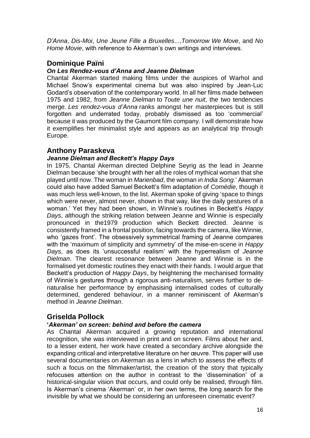*D'Anna*, *Dis-Moi*, *Une Jeune Fille a Bruxelles*...,*Tomorrow We Move*, and *No Home Movie*, with reference to Akerman's own writings and interviews.

## **Dominique Païni**

#### *On Les Rendez-vous d'Anna and Jeanne Dielman*

Chantal Akerman started making films under the auspices of Warhol and Michael Snow's experimental cinema but was also inspired by Jean-Luc Godard's observation of the contemporary world. In all her films made between 1975 and 1982, from *Jeanne Dielman* to *Toute une nuit*, the two tendencies merge. *Les rendez-vous d'Anna* ranks amongst her masterpieces but is still forgotten and underrated today, probably dismissed as too 'commercial' because it was produced by the Gaumont film company. I will demonstrate how it exemplifies her minimalist style and appears as an analytical trip through Europe.

## **Anthony Paraskeva**

#### *Jeanne Dielman and Beckett's Happy Days*

In 1975, Chantal Akerman directed Delphine Seyrig as the lead in Jeanne Dielman because 'she brought with her all the roles of mythical woman that she played until now. The woman in *Marienbad*, the woman in *India Song*.' Akerman could also have added Samuel Beckett's film adaptation of *Comédie*, though it was much less well-known, to the list. Akerman spoke of giving 'space to things which were never, almost never, shown in that way, like the daily gestures of a woman.' Yet they had been shown, in Winnie's routines in Beckett's *Happy Days*, although the striking relation between Jeanne and Winnie is especially pronounced in the1979 production which Beckett directed. Jeanne is consistently framed in a frontal position, facing towards the camera, like Winnie, who 'gazes front'. The obsessively symmetrical framing of Jeanne compares with the 'maximum of simplicity and symmetry' of the mise-en-scene in *Happy Days*, as does its 'unsuccessful realism' with the hyperrealism of *Jeanne Dielman*. The clearest resonance between Jeanne and Winnie is in the formalised yet domestic routines they enact with their hands. I would argue that Beckett's production of *Happy Days*, by heightening the mechanised formality of Winnie's gestures through a rigorous anti-naturalism, serves further to denaturalise her performance by emphasising internalised codes of culturally determined, gendered behaviour, in a manner reminiscent of Akerman's method in *Jeanne Dielman*.

## **Griselda Pollock**

#### **'***Akerman' on screen: behind and before the camera*

As Chantal Akerman acquired a growing reputation and international recognition, she was interviewed in print and on screen. Films about her and, to a lesser extent, her work have created a secondary archive alongside the expanding critical and interpretative literature on her œuvre. This paper will use several documentaries on Akerman as a lens in which to assess the effects of such a focus on the filmmaker/artist, the creation of the story that typically refocuses attention on the author in contrast to the 'dissemination' of a historical-singular vision that occurs, and could only be realised, through film. Is Akerman's cinema 'Akerman' or, in her own terms, the long search for the invisible by what we should be considering an unforeseen cinematic event?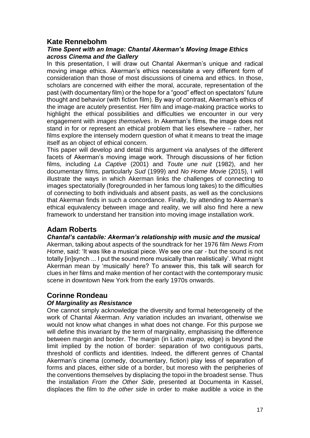## **Kate Rennebohm**

#### *Time Spent with an Image: Chantal Akerman's Moving Image Ethics across Cinema and the Gallery*

In this presentation, I will draw out Chantal Akerman's unique and radical moving image ethics. Akerman's ethics necessitate a very different form of consideration than those of most discussions of cinema and ethics. In those, scholars are concerned with either the moral, accurate, representation of the past (with documentary film) or the hope for a "good" effect on spectators' future thought and behavior (with fiction film). By way of contrast, Akerman's ethics of the image are acutely presentist. Her film and image-making practice works to highlight the ethical possibilities and difficulties we encounter in our very engagement with *images themselves*. In Akerman's films, the image does not stand in for or represent an ethical problem that lies elsewhere – rather, her films explore the intensely modern question of what it means to treat the image itself as an object of ethical concern.

This paper will develop and detail this argument via analyses of the different facets of Akerman's moving image work. Through discussions of her fiction films, including *La Captive* (2001) and *Toute une nuit* (1982), and her documentary films, particularly *Sud* (1999) and *No Home Movie* (2015), I will illustrate the ways in which Akerman links the challenges of connecting to images spectatorially (foregrounded in her famous long takes) to the difficulties of connecting to both individuals and absent pasts, as well as the conclusions that Akerman finds in such a concordance. Finally, by attending to Akerman's ethical equivalency between image and reality, we will also find here a new framework to understand her transition into moving image installation work.

## **Adam Roberts**

*Chantal's cantabile: Akerman's relationship with music and the musical* Akerman, talking about aspects of the soundtrack for her 1976 film *News From Home*, said: 'It was like a musical piece. We see one car - but the sound is not totally [in]synch ... I put the sound more musically than realistically'. What might Akerman mean by 'musically' here? To answer this, this talk will search for clues in her films and make mention of her contact with the contemporary music scene in downtown New York from the early 1970s onwards.

## **Corinne Rondeau**

## *Of Marginality as Resistance*

One cannot simply acknowledge the diversity and formal heterogeneity of the work of Chantal Akerman. Any variation includes an invariant, otherwise we would not know what changes in what does not change. For this purpose we will define this invariant by the term of marginality, emphasising the difference between margin and border. The margin (in Latin *margo*, edge) is beyond the limit implied by the notion of border: separation of two contiguous parts, threshold of conflicts and identities. Indeed, the different genres of Chantal Akerman's cinema (comedy, documentary, fiction) play less of separation of forms and places, either side of a border, but moreso with the peripheries of the conventions themselves by displacing the topoi in the broadest sense. Thus the installation *From the Other Side*, presented at Documenta in Kassel, displaces the film to *the other side* in order to make audible a voice in the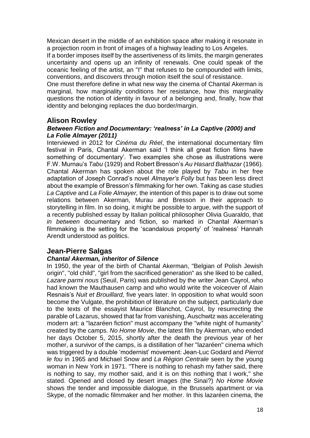Mexican desert in the middle of an exhibition space after making it resonate in a projection room in front of images of a highway leading to Los Angeles.

If a border imposes itself by the assertiveness of its limits, the margin generates uncertainty and opens up an infinity of renewals. One could speak of the oceanic feeling of the artist, an "I" that refuses to be compounded with limits, conventions, and discovers through motion itself the soul of resistance.

One must therefore define in what new way the cinema of Chantal Akerman is marginal, how marginality conditions her resistance, how this marginality questions the notion of identity in favour of a belonging and, finally, how that identity and belonging replaces the duo border/margin.

## **Alison Rowley**

#### *Between Fiction and Documentary: 'realness' in La Captive (2000) and La Folie Almayer (2011)*

Interviewed in 2012 for *Cinéma du Réel*, the international documentary film festival in Paris, Chantal Akerman said 'I think all great fiction films have something of documentary'. Two examples she chose as illustrations were F.W. Murnau's *Tabu* (1929) and Robert Bresson's *Au Hasard Balthazar* (1966). Chantal Akerman has spoken about the role played by *Tabu* in her free adaptation of Joseph Conrad's novel *Almayer's Folly* but has been less direct about the example of Bresson's filmmaking for her own. Taking as case studies *La Captive* and *La Folie Almayer,* the intention of this paper is to draw out some relations between Akerman, Murau and Bresson in their approach to storytelling in film. In so doing, it might be possible to argue, with the support of a recently published essay by Italian political philosopher Olivia Guaraldo, that *in between* documentary and fiction, so marked in Chantal Akerman's filmmaking is the setting for the 'scandalous property' of 'realness' Hannah Arendt understood as politics.

## **Jean-Pierre Salgas**

## *Chantal Akerman, inheritor of Silence*

In 1950, the year of the birth of Chantal Akerman, "Belgian of Polish Jewish origin", "old child", "girl from the sacrificed generation" as she liked to be called, *Lazare parmi nous* (Seuil, Paris) was published by the writer Jean Cayrol, who had known the Mauthausen camp and who would write the voiceover of Alain Resnais's *Nuit et Brouillard,* five years later. In opposition to what would soon become the Vulgate, the prohibition of literature on the subject, particularly due to the texts of the essayist Maurice Blanchot, Cayrol, by resurrecting the parable of Lazarus, showed that far from vanishing, Auschwitz was accelerating modern art: a "lazaréen fiction" must accompany the "white night of humanity" created by the camps. *No Home Movie*, the latest film by Akerman, who ended her days October 5, 2015, shortly after the death the previous year of her mother, a survivor of the camps, is a distillation of her "lazaréen" cinema which was triggered by a double 'modernist' movement: Jean-Luc Godard and *Pierrot le fou* in 1965 and Michael Snow and *La Région Centrale* seen by the young woman in New York in 1971. "There is nothing to rehash my father said, there is nothing to say, my mother said, and it is on this nothing that I work," she stated. Opened and closed by desert images (the Sinai?) *No Home Movie* shows the tender and impossible dialogue, in the Brussels apartment or via Skype, of the nomadic filmmaker and her mother. In this lazaréen cinema, the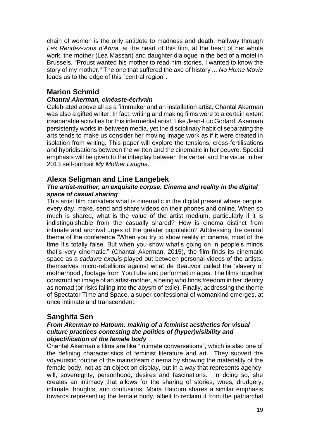chain of women is the only antidote to madness and death. Halfway through *Les Rendez-vous d'Anna,* at the heart of this film, at the heart of her whole work, the mother (Lea Massari) and daughter dialogue in the bed of a motel in Brussels. "Proust wanted his mother to read him stories. I wanted to know the story of my mother." The one that suffered the axe of history ... *No Home Movie* leads us to the edge of this "central region".

## **Marion Schmid**

#### *Chantal Akerman, cinéaste-écrivain*

Celebrated above all as a filmmaker and an installation artist, Chantal Akerman was also a gifted writer. In fact, writing and making films were to a certain extent inseparable activities for this intermedial artist. Like Jean-Luc Godard, Akerman persistently works in-between media, yet the disciplinary habit of separating the arts tends to make us consider her moving image work as if it were created in isolation from writing. This paper will explore the tensions, cross-fertilisations and hybridisations between the written and the cinematic in her oeuvre. Special emphasis will be given to the interplay between the verbal and the visual in her 2013 self-portrait *My Mother Laughs*.

## **Alexa Seligman and Line Langebek**

#### *The artist-mother, an exquisite corpse. Cinema and reality in the digital space of casual sharing*

This artist film considers what is cinematic in the digital present where people, every day, make, send and share videos on their phones and online. When so much is shared, what is the value of the artist medium, particularly if it is indistinguishable from the casually shared? How is cinema distinct from intimate and archival urges of the greater population? Addressing the central theme of the conference "When you try to show reality in cinema, most of the time it's totally false. But when you show what's going on in people's minds that's very cinematic." (Chantal Akerman, 2015), the film finds its cinematic space as a *cadavre exquis* played out between personal videos of the artists, themselves micro-rebellions against what de Beauvoir called the 'slavery of motherhood', footage from YouTube and performed images. The films together construct an image of an artist-mother, a being who finds freedom in her identity as nomad (or risks falling into the abysm of exile). Finally, addressing the theme of Spectator Time and Space, a super-confessional of womankind emerges, at once intimate and transcendent.

## **Sanghita Sen**

#### *From Akerman to Hatoum: making of a feminist aesthetics for visual culture practices contesting the politics of (hyper)visibility and objectification of the female body*

Chantal Akerman's films are like "intimate conversations", which is also one of the defining characteristics of feminist literature and art. They subvert the voyeuristic routine of the mainstream cinema by showing the materiality of the female body, not as an object on display, but in a way that represents agency, will, sovereignty, personhood, desires and fascinations. In doing so, she creates an intimacy that allows for the sharing of stories, woes, drudgery, intimate thoughts, and confusions. Mona Hatoum shares a similar emphasis towards representing the female body, albeit to reclaim it from the patriarchal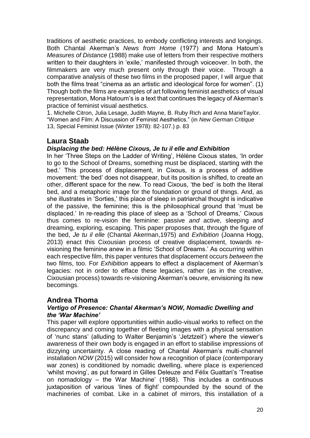traditions of aesthetic practices, to embody conflicting interests and longings. Both Chantal Akerman's *News from Home* (1977) and Mona Hatoum's *Measures of Distance* (1988) make use of letters from their respective mothers written to their daughters in 'exile,' manifested through voiceover. In both, the filmmakers are very much present only through their voice. Through a comparative analysis of these two films in the proposed paper, I will argue that both the films treat "cinema as an artistic and ideological force for women". (1) Though both the films are examples of art following feminist aesthetics of visual representation, Mona Hatoum's is a text that continues the legacy of Akerman's practice of feminist visual aesthetics.

1. Michelle Citron, Julia Lesage, Judith Mayne, B. Ruby Rich and Anna MarieTaylor. "Women and Film: A Discussion of Feminist Aesthetics." (in *New German Critique* 13, Special Feminist Issue (Winter 1978): 82-107.) p. 83

## **Laura Staab**

#### *Displacing the bed: Hélène Cixous, Je tu il elle and Exhibition*

In her 'Three Steps on the Ladder of Writing', Hélène Cixous states, 'In order to go to the School of Dreams, something must be displaced, starting with the bed.' This process of displacement, in Cixous, is a process of additive movement: 'the bed' does not disappear, but its position is shifted, to create an other, different space for the new. To read Cixous, 'the bed' is both the literal bed, and a metaphoric image for the foundation or ground of things. And, as she illustrates in 'Sorties,' this place of sleep in patriarchal thought is indicative of the passive, the feminine; this is the philosophical ground that 'must be displaced.' In re-reading this place of sleep as a 'School of Dreams,' Cixous thus comes to re-vision the feminine: passive *and* active, sleeping *and*  dreaming, exploring, escaping. This paper proposes that, through the figure of the bed, *Je tu il elle* (Chantal Akerman,1975) and *Exhibition* (Joanna Hogg, 2013) enact this Cixousian process of creative displacement, towards revisioning the feminine anew in a filmic 'School of Dreams.' As occurring within each respective film, this paper ventures that displacement occurs *between* the two films, too. For *Exhibition* appears to effect a displacement of Akerman's legacies: not in order to efface these legacies, rather (as in the creative, Cixousian process) towards re-visioning Akerman's oeuvre, envisioning its new becomings.

## **Andrea Thoma**

#### *Vertigo of Presence: Chantal Akerman's NOW, Nomadic Dwelling and the 'War Machine'*

This paper will explore opportunities within audio-visual works to reflect on the discrepancy and coming together of fleeting images with a physical sensation of 'nunc stans' (alluding to Walter Benjamin's 'Jetztzeit') where the viewer's awareness of their own body is engaged in an effort to stabilise impressions of dizzying uncertainty. A close reading of Chantal Akerman's multi-channel installation *NOW* (2015) will consider how a recognition of place (contemporary war zones) is conditioned by nomadic dwelling, where place is experienced 'whilst moving', as put forward in Gilles Deleuze and Félix Guattari's 'Treatise on nomadology – the War Machine' (1988). This includes a continuous juxtaposition of various 'lines of flight' compounded by the sound of the machineries of combat. Like in a cabinet of mirrors, this installation of a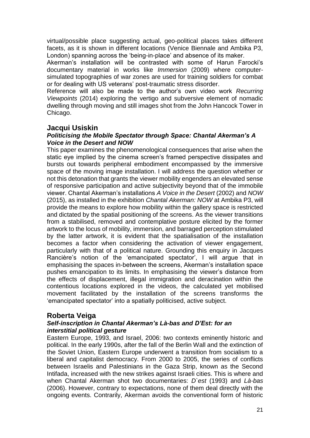virtual/possible place suggesting actual, geo-political places takes different facets, as it is shown in different locations (Venice Biennale and Ambika P3, London) spanning across the 'being-in-place' and absence of its maker.

Akerman's installation will be contrasted with some of Harun Farocki's documentary material in works like *Immersion* (2009) where computersimulated topographies of war zones are used for training soldiers for combat or for dealing with US veterans' post-traumatic stress disorder.

Reference will also be made to the author's own video work *Recurring Viewpoints* (2014) exploring the vertigo and subversive element of nomadic dwelling through moving and still images shot from the John Hancock Tower in Chicago.

## **Jacqui Usiskin**

#### *Politicising the Mobile Spectator through Space: Chantal Akerman's A Voice in the Desert and NOW*

This paper examines the phenomenological consequences that arise when the static eye implied by the cinema screen's framed perspective dissipates and bursts out towards peripheral embodiment encompassed by the immersive space of the moving image installation. I will address the question whether or not this detonation that grants the viewer mobility engenders an elevated sense of responsive participation and active subjectivity beyond that of the immobile viewer. Chantal Akerman's installations *A Voice in the Desert* (2002) and *NOW*  (2015), as installed in the exhibition *Chantal Akerman: NOW* at Ambika P3, will provide the means to explore how mobility within the gallery space is restricted and dictated by the spatial positioning of the screens. As the viewer transitions from a stabilised, removed and contemplative posture elicited by the former artwork to the locus of mobility, immersion, and barraged perception stimulated by the latter artwork, it is evident that the spatialisation of the installation becomes a factor when considering the activation of viewer engagement, particularly with that of a political nature. Grounding this enquiry in Jacques Rancière's notion of the 'emancipated spectator', I will argue that in emphasising the spaces in-between the screens, Akerman's installation space pushes emancipation to its limits. In emphasising the viewer's distance from the effects of displacement, illegal immigration and deracination within the contentious locations explored in the videos, the calculated yet mobilised movement facilitated by the installation of the screens transforms the 'emancipated spectator' into a spatially politicised, active subject.

## **Roberta Veiga**

#### *Self-inscription in Chantal Akerman's Là-bas and D'Est: for an interstitial political gesture*

Eastern Europe, 1993, and Israel, 2006: two contexts eminently historic and political. In the early 1990s, after the fall of the Berlin Wall and the extinction of the Soviet Union, Eastern Europe underwent a transition from socialism to a liberal and capitalist democracy. From 2000 to 2005, the series of conflicts between Israelis and Palestinians in the Gaza Strip, known as the Second Intifada, increased with the new strikes against Israeli cities. This is where and when Chantal Akerman shot two documentaries: *D`est* (1993) and *Là-bas*  (2006). However, contrary to expectations, none of them deal directly with the ongoing events. Contrarily, Akerman avoids the conventional form of historic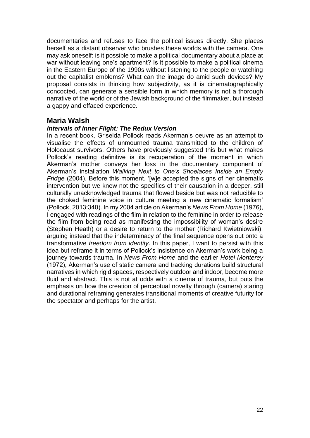documentaries and refuses to face the political issues directly. She places herself as a distant observer who brushes these worlds with the camera. One may ask oneself: is it possible to make a political documentary about a place at war without leaving one's apartment? Is it possible to make a political cinema in the Eastern Europe of the 1990s without listening to the people or watching out the capitalist emblems? What can the image do amid such devices? My proposal consists in thinking how subjectivity, as it is cinematographically concocted, can generate a sensible form in which memory is not a thorough narrative of the world or of the Jewish background of the filmmaker, but instead a gappy and effaced experience.

## **Maria Walsh**

#### *Intervals of Inner Flight: The Redux Version*

In a recent book, Griselda Pollock reads Akerman's oeuvre as an attempt to visualise the effects of unmourned trauma transmitted to the children of Holocaust survivors. Others have previously suggested this but what makes Pollock's reading definitive is its recuperation of the moment in which Akerman's mother conveys her loss in the documentary component of Akerman's installation *Walking Next to One's Shoelaces Inside an Empty Fridge* (2004). Before this moment, '[w]e accepted the signs of her cinematic intervention but we knew not the specifics of their causation in a deeper, still culturally unacknowledged trauma that flowed beside but was not reducible to the choked feminine voice in culture meeting a new cinematic formalism' (Pollock, 2013:340). In my 2004 article on Akerman's *News From Home* (1976), I engaged with readings of the film in relation to the feminine in order to release the film from being read as manifesting the impossibility of woman's desire (Stephen Heath) or a desire to return to the mother (Richard Kwietniowski), arguing instead that the indeterminacy of the final sequence opens out onto a transformative *freedom from identity*. In this paper, I want to persist with this idea but reframe it in terms of Pollock's insistence on Akerman's work being a journey towards trauma. In *News From Home* and the earlier *Hotel Monterey* (1972), Akerman's use of static camera and tracking durations build structural narratives in which rigid spaces, respectively outdoor and indoor, become more fluid and abstract. This is not at odds with a cinema of trauma, but puts the emphasis on how the creation of perceptual novelty through (camera) staring and durational reframing generates transitional moments of creative futurity for the spectator and perhaps for the artist.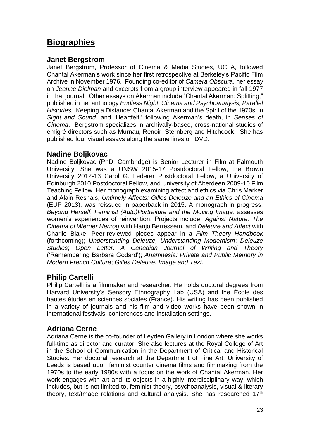# **Biographies**

## **Janet Bergstrom**

Janet Bergstrom, Professor of Cinema & Media Studies, UCLA, followed Chantal Akerman's work since her first retrospective at Berkeley's Pacific Film Archive in November 1976. Founding co-editor of *Camera Obscura*, her essay on *Jeanne Dielman* and excerpts from a group interview appeared in fall 1977 in that journal. Other essays on Akerman include "Chantal Akerman: Splitting," published in her anthology *Endless Night: Cinema and Psychoanalysis, Parallel Histories,* 'Keeping a Distance: Chantal Akerman and the Spirit of the 1970s' in *Sight and Sound*, and 'Heartfelt,' following Akerman's death, in *Senses of Cinema*. Bergstrom specializes in archivally-based, cross-national studies of émigré directors such as Murnau, Renoir, Sternberg and Hitchcock. She has published four visual essays along the same lines on DVD.

## **Nadine Boljkovac**

Nadine Boljkovac (PhD, Cambridge) is Senior Lecturer in Film at Falmouth University. She was a UNSW 2015-17 Postdoctoral Fellow, the Brown University 2012-13 Carol G. Lederer Postdoctoral Fellow, a University of Edinburgh 2010 Postdoctoral Fellow, and University of Aberdeen 2009-10 Film Teaching Fellow. Her monograph examining affect and ethics via Chris Marker and Alain Resnais, *Untimely Affects: Gilles Deleuze and an Ethics of Cinema*  (EUP 2013), was reissued in paperback in 2015. A monograph in progress, *Beyond Herself: Feminist (Auto)Portraiture and the Moving Image*, assesses women's experiences of reinvention. Projects include: *Against Nature: The Cinema of Werner Herzog* with Hanjo Berressem, and *Deleuze and Affect* with Charlie Blake. Peer-reviewed pieces appear in a *Film Theory Handbook*  (forthcoming); *Understanding Deleuze, Understanding Modernism*; *Deleuze Studies*; *Open Letter: A Canadian Journal of Writing and Theory*  ('Remembering Barbara Godard'); *Anamnesia: Private and Public Memory in Modern French Culture*; *Gilles Deleuze: Image and Text*.

## **Philip Cartelli**

Philip Cartelli is a filmmaker and researcher. He holds doctoral degrees from Harvard University's Sensory Ethnography Lab (USA) and the École des hautes études en sciences sociales (France). His writing has been published in a variety of journals and his film and video works have been shown in international festivals, conferences and installation settings.

## **Adriana Cerne**

Adriana Cerne is the co-founder of Leyden Gallery in London where she works full-time as director and curator. She also lectures at the Royal College of Art in the School of Communication in the Department of Critical and Historical Studies. Her doctoral research at the Department of Fine Art, University of Leeds is based upon feminist counter cinema films and filmmaking from the 1970s to the early 1980s with a focus on the work of Chantal Akerman. Her work engages with art and its objects in a highly interdisciplinary way, which includes, but is not limited to, feminist theory, psychoanalysis, visual & literary theory, text/Image relations and cultural analysis. She has researched 17<sup>th</sup>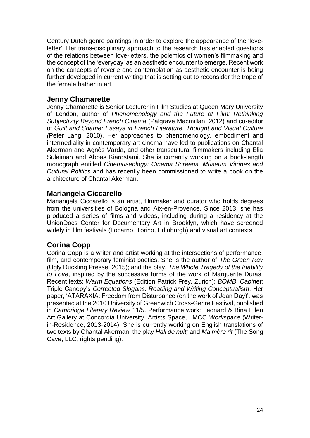Century Dutch genre paintings in order to explore the appearance of the 'loveletter'. Her trans-disciplinary approach to the research has enabled questions of the relations between love-letters, the polemics of women's filmmaking and the concept of the 'everyday' as an aesthetic encounter to emerge. Recent work on the concepts of reverie and contemplation as aesthetic encounter is being further developed in current writing that is setting out to reconsider the trope of the female bather in art.

## **Jenny Chamarette**

Jenny Chamarette is Senior Lecturer in Film Studies at Queen Mary University of London, author of *Phenomenology and the Future of Film: Rethinking Subjectivity Beyond French Cinema* (Palgrave Macmillan, 2012) and co-editor of *Guilt and Shame: Essays in French Literature, Thought and Visual Culture (*Peter Lang: 2010). Her approaches to phenomenology, embodiment and intermediality in contemporary art cinema have led to publications on Chantal Akerman and Agnès Varda, and other transcultural filmmakers including Elia Suleiman and Abbas Kiarostami. She is currently working on a book-length monograph entitled *Cinemuseology: Cinema Screens, Museum Vitrines and Cultural Politics* and has recently been commissioned to write a book on the architecture of Chantal Akerman.

## **Mariangela Ciccarello**

Mariangela Ciccarello is an artist, filmmaker and curator who holds degrees from the universities of Bologna and Aix-en-Provence. Since 2013, she has produced a series of films and videos, including during a residency at the UnionDocs Center for Documentary Art in Brooklyn, which have screened widely in film festivals (Locarno, Torino, Edinburgh) and visual art contexts.

## **Corina Copp**

Corina Copp is a writer and artist working at the intersections of performance, film, and contemporary feminist poetics. She is the author of *The Green Ray*  (Ugly Duckling Presse, 2015); and the play, *The Whole Tragedy of the Inability to Love*, inspired by the successive forms of the work of Marguerite Duras. Recent texts: *Warm Equations* (Edition Patrick Frey, Zurich); *BOMB*; *Cabinet*; Triple Canopy's *Corrected Slogans: Reading and Writing Conceptualism*. Her paper, 'ATARAXIA: Freedom from Disturbance (on the work of Jean Day)', was presented at the 2010 University of Greenwich Cross-Genre Festival, published in *Cambridge Literary Review* 11/5. Performance work: Leonard & Bina Ellen Art Gallery at Concordia University, Artists Space, LMCC *Workspace* (Writerin-Residence, 2013-2014). She is currently working on English translations of two texts by Chantal Akerman, the play *Hall de nuit;* and *Ma mère rit* (The Song Cave, LLC, rights pending).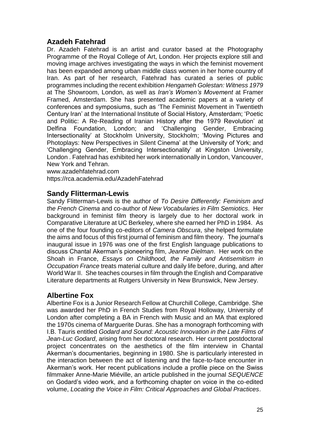## **Azadeh Fatehrad**

Dr. Azadeh Fatehrad is an artist and curator based at the Photography Programme of the Royal College of Art, London. Her projects explore still and moving image archives investigating the ways in which the feminist movement has been expanded among urban middle class women in her home country of Iran. As part of her research, Fatehrad has curated a series of public programmes including the recent exhibition *Hengameh Golestan: Witness 1979* at The Showroom, London, as well as *Iran's Women's Movement* at Framer Framed, Amsterdam. She has presented academic papers at a variety of conferences and symposiums, such as 'The Feminist Movement in Twentieth Century Iran' at the International Institute of Social History, Amsterdam; 'Poetic and Politic: A Re-Reading of Iranian History after the 1979 Revolution' at Delfina Foundation, London; and 'Challenging Gender, Embracing Intersectionality' at Stockholm University, Stockholm; 'Moving Pictures and Photoplays: New Perspectives in Silent Cinema' at the University of York; and 'Challenging Gender, Embracing Intersectionality' at Kingston University, London . Fatehrad has exhibited her work internationally in London, Vancouver, New York and Tehran.

www.azadehfatehrad.com

https://rca.academia.edu/AzadehFatehrad

## **Sandy Flitterman-Lewis**

Sandy Flitterman-Lewis is the author of *To Desire Differently: Feminism and the French Cinema* and co-author of *New Vocabularies in Film Semiotics*. Her background in feminist film theory is largely due to her doctoral work in Comparative Literature at UC Berkeley, where she earned her PhD in 1984. As one of the four founding co-editors of *Camera Obscura*, she helped formulate the aims and focus of this first journal of feminism and film theory. The journal's inaugural issue in 1976 was one of the first English language publications to discuss Chantal Akerman's pioneering film, *Jeanne Dielman*. Her work on the Shoah in France, *Essays on Childhood, the Family and Antisemitism in Occupation France* treats material culture and daily life before, during, and after World War II. She teaches courses in film through the English and Comparative Literature departments at Rutgers University in New Brunswick, New Jersey.

## **Albertine Fox**

Albertine Fox is a Junior Research Fellow at Churchill College, Cambridge. She was awarded her PhD in French Studies from Royal Holloway, University of London after completing a BA in French with Music and an MA that explored the 1970s cinema of Marguerite Duras. She has a monograph forthcoming with I.B. Tauris entitled *Godard and Sound: Acoustic Innovation in the Late Films of Jean-Luc Godard*, arising from her doctoral research. Her current postdoctoral project concentrates on the aesthetics of the film interview in Chantal Akerman's documentaries, beginning in 1980. She is particularly interested in the interaction between the act of listening and the face-to-face encounter in Akerman's work. Her recent publications include a profile piece on the Swiss filmmaker Anne-Marie Miéville, an article published in the journal *SEQUENCE* on Godard's video work, and a forthcoming chapter on voice in the co-edited volume, *Locating the Voice in Film: Critical Approaches and Global Practices*.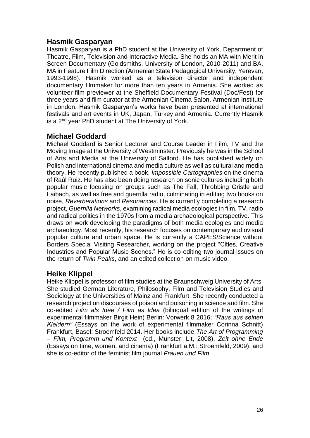## **Hasmik Gasparyan**

Hasmik Gasparyan is a PhD student at the University of York, Department of Theatre, Film, Television and Interactive Media. She holds an MA with Merit in Screen Documentary (Goldsmiths, University of London, 2010-2011) and BA, MA in Feature Film Direction (Armenian State Pedagogical University, Yerevan, 1993-1998). Hasmik worked as a television director and independent documentary filmmaker for more than ten years in Armenia. She worked as volunteer film previewer at the Sheffield Documentary Festival (Doc/Fest) for three years and film curator at the Armenian Cinema Salon, Armenian Institute in London. Hasmik Gasparyan's works have been presented at international festivals and art events in UK, Japan, Turkey and Armenia. Currently Hasmik is a 2nd year PhD student at The University of York.

## **Michael Goddard**

Michael Goddard is Senior Lecturer and Course Leader in Film, TV and the Moving Image at the University of Westminster. Previously he was in the School of Arts and Media at the University of Salford. He has published widely on Polish and international cinema and media culture as well as cultural and media theory. He recently published a book, *Impossible Cartographies* on the cinema of Raúl Ruiz. He has also been doing research on sonic cultures including both popular music focusing on groups such as The Fall, Throbbing Gristle and Laibach, as well as free and guerrilla radio, culminating in editing two books on noise, *Reverberations* and *Resonances*. He is currently completing a research project, *Guerrilla Networks*, examining radical media ecologies in film, TV, radio and radical politics in the 1970s from a media archaeological perspective. This draws on work developing the paradigms of both media ecologies and media archaeology. Most recently, his research focuses on contemporary audiovisual popular culture and urban space. He is currently a CAPES/Science without Borders Special Visiting Researcher, working on the project "Cities, Creative Industries and Popular Music Scenes." He is co-editing two journal issues on the return of *Twin Peaks*, and an edited collection on music video.

## **Heike Klippel**

Heike Klippel is professor of film studies at the Braunschweig University of Arts. She studied German Literature, Philosophy, Film and Television Studies and Sociology at the Universities of Mainz and Frankfurt. She recently conducted a research project on discourses of poison and poisoning in science and film. She co-edited *Film als Idee / Film as Idea* (bilingual edition of the writings of experimental filmmaker Birgit Hein) Berlin: Vorwerk 8 2016; *"Raus aus seinen Kleidern"* (Essays on the work of experimental filmmaker Corinna Schnitt) Frankfurt, Basel: Stroemfeld 2014. Her books include *The Art of Programming – Film, Programm und Kontext* (ed., Münster: Lit, 2008), *Zeit ohne Ende* (Essays on time, women, and cinema) (Frankfurt a.M.: Stroemfeld, 2009), and she is co-editor of the feminist film journal *Frauen und Film*.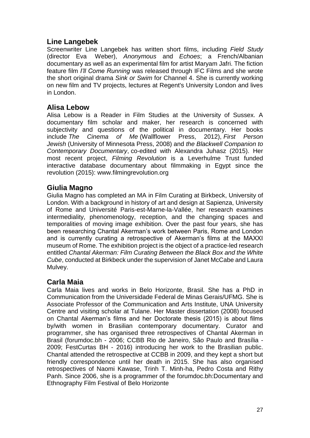## **Line Langebek**

Screenwriter Line Langebek has written short films, including *Field Study*  (director Eva Weber), *Anonymous* and *Echoes*; a French/Albanian documentary as well as an experimental film for artist Maryam Jafri. The fiction feature film *I'll Come Running* was released through IFC Films and she wrote the short original drama *Sink or Swim* for Channel 4. She is currently working on new film and TV projects, lectures at Regent's University London and lives in London.

## **Alisa Lebow**

Alisa Lebow is a Reader in Film Studies at the University of Sussex. A documentary film scholar and maker, her research is concerned with subjectivity and questions of the political in documentary. Her books include *The Cinema of Me* (Wallflower Press, 2012), *First Person Jewish* (University of Minnesota Press, 2008) and *the Blackwell Companion to Contemporary Documentary*, co-edited with Alexandra Juhasz (2015). Her most recent project, *Filming Revolution* is a Leverhulme Trust funded interactive database documentary about filmmaking in Egypt since the revolution (2015): [www.filmingrevolution.org](http://www.filmingrevolution.org/)

## **Giulia Magno**

Giulia Magno has completed an MA in Film Curating at Birkbeck, University of London. With a background in history of art and design at Sapienza, University of Rome and Université Paris-est-Marne-la-Vallée, her research examines intermediality, phenomenology, reception, and the changing spaces and temporalities of moving image exhibition. Over the past four years, she has been researching Chantal Akerman's work between Paris, Rome and London and is currently curating a retrospective of Akerman's films at the MAXXI museum of Rome. The exhibition project is the object of a practice-led research entitled *Chantal Akerman: Film Curating Between the Black Box and the White Cube*, conducted at Birkbeck under the supervision of Janet McCabe and Laura Mulvey.

## **Carla Maia**

Carla Maia lives and works in Belo Horizonte, Brasil. She has a PhD in Communication from the Universidade Federal de Minas Gerais/UFMG. She is Associate Professor of the Communication and Arts Institute, UNA University Centre and visiting scholar at Tulane. Her Master dissertation (2008) focused on Chantal Akerman's films and her Doctorate thesis (2015) is about films by/with women in Brasilian contemporary documentary. Curator and programmer, she has organised three retrospectives of Chantal Akerman in Brasil (forumdoc.bh - 2006; CCBB Rio de Janeiro, São Paulo and Brasília - 2009; FestCurtas BH - 2016) introducing her work to the Brasilian public. Chantal attended the retrospective at CCBB in 2009, and they kept a short but friendly correspondence until her death in 2015. She has also organised retrospectives of Naomi Kawase, Trinh T. Minh-ha, Pedro Costa and Rithy Panh. Since 2006, she is a programmer of the forumdoc.bh:Documentary and Ethnography Film Festival of Belo Horizonte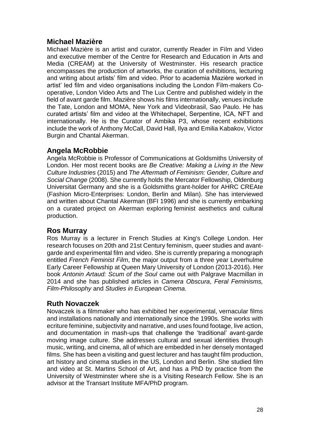## **Michael Mazière**

Michael Mazière is an artist and curator, currently Reader in Film and Video and executive member of the Centre for Research and Education in Arts and Media (CREAM) at the University of Westminster. His research practice encompasses the production of artworks, the curation of exhibitions, lecturing and writing about artists' film and video. Prior to academia Mazière worked in artist' led film and video organisations including the London Film-makers Cooperative, London Video Arts and The Lux Centre and published widely in the field of avant garde film. Mazière shows his films internationally, venues include the Tate, London and MOMA, New York and Videobrasil, Sao Paulo. He has curated artists' film and video at the Whitechapel, Serpentine, ICA, NFT and internationally. He is the Curator of Ambika P3, whose recent exhibitions include the work of Anthony McCall, David Hall, Ilya and Emilia Kabakov, Victor Burgin and Chantal Akerman.

## **Angela McRobbie**

Angela McRobbie is Professor of Communications at Goldsmiths University of London. Her most recent books are *Be Creative: Making a Living in the New Culture Industries* (2015) and *The Aftermath of Feminism: Gender, Culture and Social Change* (2008). She currently holds the Mercator Fellowship, Oldenburg Universitat Germany and she is a Goldsmiths grant-holder for AHRC CREAte (Fashion Micro-Enterprises: London, Berlin and Milan). She has interviewed and written about Chantal Akerman (BFI 1996) and she is currently embarking on a curated project on Akerman exploring feminist aesthetics and cultural production.

## **Ros Murray**

Ros Murray is a lecturer in French Studies at King's College London. Her research focuses on 20th and 21st Century feminism, queer studies and avantgarde and experimental film and video. She is currently preparing a monograph entitled *French Feminist Film*, the major output from a three year Leverhulme Early Career Fellowship at Queen Mary University of London (2013-2016). Her book *Antonin Artaud: Scum of the Soul* came out with Palgrave Macmillan in 2014 and she has published articles in *Camera Obscura*, *Feral Feminisms, Film-Philosophy* and *Studies in European Cinema.*

## **Ruth Novaczek**

Novaczek is a filmmaker who has exhibited her experimental, vernacular films and installations nationally and internationally since the 1990s. She works with ecriture feminine, subjectivity and narrative, and uses found footage, live action, and documentation in mash-ups that challenge the 'traditional' avant-garde moving image culture. She addresses cultural and sexual identities through music, writing, and cinema, all of which are embedded in her densely montaged films. She has been a visiting and guest lecturer and has taught film production, art history and cinema studies in the US, London and Berlin. She studied film and video at St. Martins School of Art, and has a PhD by practice from the University of Westminster where she is a Visiting Research Fellow. She is an advisor at the Transart Institute MFA/PhD program.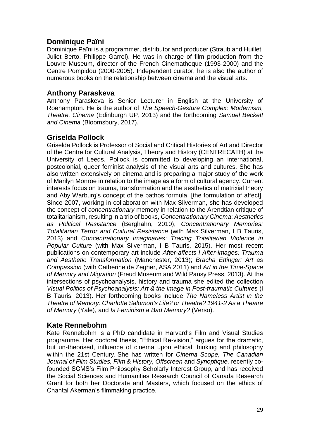## **Dominique Païni**

Dominique Païni is a programmer, distributor and producer (Straub and Huillet, Juliet Berto, Philippe Garrel). He was in charge of film production from the Louvre Museum, director of the French Cinematheque (1993-2000) and the Centre Pompidou (2000-2005). Independent curator, he is also the author of numerous books on the relationship between cinema and the visual arts.

## **Anthony Paraskeva**

Anthony Paraskeva is Senior Lecturer in English at the University of Roehampton. He is the author of *The Speech-Gesture Complex: Modernism, Theatre, Cinema* (Edinburgh UP, 2013) and the forthcoming *Samuel Beckett and Cinema* (Bloomsbury, 2017).

## **Griselda Pollock**

Griselda Pollock is Professor of Social and Critical Histories of Art and Director of the Centre for Cultural Analysis, Theory and History (CENTRECATH) at the University of Leeds. Pollock is committed to developing an international, postcolonial, queer feminist analysis of the visual arts and cultures. She has also written extensively on cinema and is preparing a major study of the work of Marilyn Monroe in relation to the image as a form of cultural agency. Current interests focus on trauma, transformation and the aesthetics of matrixial theory and Aby Warburg's concept of the pathos formula, [the formulation of affect]. Since 2007, working in collaboration with Max Silverman, she has developed the concept of *concentrationary* memory in relation to the Arendtian critique of totalitarianism, resulting in a trio of books, *Concentrationary Cinema*: *Aesthetics as Political Resistance* (Berghahn, 2010), *Concentrationary Memories: Totalitarian Terror and Cultural Resistance* (with Max Silverman, I B Tauris, 2013) and *Concentrationary Imaginaries: Tracing Totalitarian Violence in Popular Culture* (with Max Silverman, I B Tauris, 2015). Her most recent publications on contemporary art include *After-affects I After-images: Trauma and Aesthetic Transformation* (Manchester, 2013); *Bracha Ettinger: Art as Compassion* (with Catherine de Zegher, ASA 2011) and *Art in the Time-Space of Memory and Migration* (Freud Museum and Wild Pansy Press, 2013). At the intersections of psychoanalysis, history and trauma she edited the collection *Visual Politics of Psychoanalysis: Art & the Image in Post-traumatic Cultures* (I B Tauris, 2013). Her forthcoming books include *The Nameless Artist in the Theatre of Memory: Charlotte Salomon's Life? or Theatre? 1941-2 As a Theatre of Memory* (Yale), and *Is Feminism a Bad Memory?* (Verso).

## **Kate Rennebohm**

Kate Rennebohm is a PhD candidate in Harvard's Film and Visual Studies programme. Her doctoral thesis, "Ethical Re-vision," argues for the dramatic, but un-theorised, influence of cinema upon ethical thinking and philosophy within the 21st Century. She has written for *Cinema Scope, The Canadian Journal of Film Studies, Film & History, Offscreen* and *Synoptique,* recently cofounded SCMS's Film Philosophy Scholarly Interest Group, and has received the Social Sciences and Humanities Research Council of Canada Research Grant for both her Doctorate and Masters, which focused on the ethics of Chantal Akerman's filmmaking practice.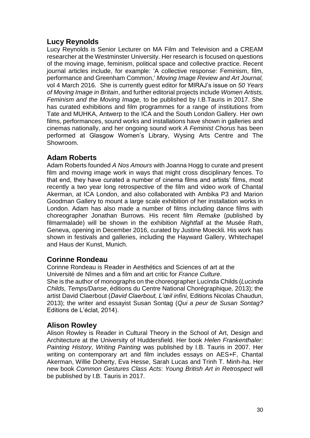# **Lucy Reynolds**

Lucy Reynolds is Senior Lecturer on MA Film and Television and a CREAM researcher at the Westminster University. Her research is focused on questions of the moving image, feminism, political space and collective practice. Recent journal articles include, for example: 'A collective response: Feminism, film, performance and Greenham Common,' *Moving Image Review and Art Journal,* vol 4 March 2016*.* She is currently guest editor for MIRAJ's issue on *50 Years of Moving Image in Britain*, and further editorial projects include *Women Artists, Feminism and the Moving Image,* to be published by I.B.Tauris in 2017. She has curated exhibitions and film programmes for a range of institutions from Tate and MUHKA, Antwerp to the ICA and the South London Gallery. Her own films, performances, sound works and installations have shown in galleries and cinemas nationally, and her ongoing sound work *A Feminist Chorus* has been performed at Glasgow Women's Library, Wysing Arts Centre and The Showroom.

## **Adam Roberts**

Adam Roberts founded *A Nos Amours* with Joanna Hogg to curate and present film and moving image work in ways that might cross disciplinary fences. To that end, they have curated a number of cinema films and artists' films, most recently a two year long retrospective of the film and video work of Chantal Akerman, at ICA London, and also collaborated with Ambika P3 and Marion Goodman Gallery to mount a large scale exhibition of her installation works in London. Adam has also made a number of films including dance films with choreographer Jonathan Burrows. His recent film *Remake* (published by filmarmalade) will be shown in the exhibition *Nightfall* at the Musée Rath, Geneva, opening in December 2016, curated by Justine Moeckli. His work has shown in festivals and galleries, including the Hayward Gallery, Whitechapel and Haus der Kunst, Munich.

## **Corinne Rondeau**

Corinne Rondeau is Reader in Aesthétics and Sciences of art at the Université de Nîmes and a film and art critic for *France Culture*. She is the author of monographs on the choreographer Lucinda Childs (*Lucinda Childs, Temps/Danse*, éditions du Centre National Chorégraphique*,* 2013); the artist David Claerbout (*David Claerbout, L'œil infini,* Editions Nicolas Chaudun, 2013); the writer and essayist Susan Sontag (*Qui a peur de Susan Sontag?* Editions de L'éclat, 2014).

## **Alison Rowley**

Alison Rowley is Reader in Cultural Theory in the School of Art, Design and Architecture at the University of Huddersfield. Her book *Helen Frankenthaler: Painting History, Writing Painting* was published by I.B. Tauris in 2007. Her writing on contemporary art and film includes essays on AES+F, Chantal Akerman, Willie Doherty, Eva Hesse, Sarah Lucas and Trinh T. Minh-ha. Her new book *Common Gestures Class Acts*: *Young British Art in Retrospect* will be published by I.B. Tauris in 2017.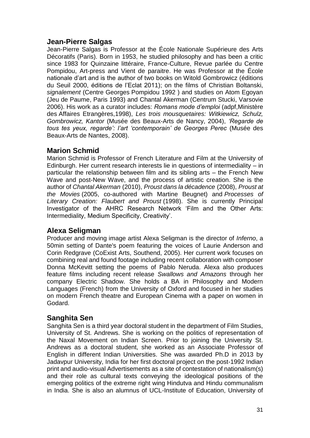## **Jean-Pierre Salgas**

Jean-Pierre Salgas is Professor at the École Nationale Supérieure des Arts Décoratifs (Paris). Born in 1953, he studied philosophy and has been a critic since 1983 for Quinzaine littéraire, France-Culture, Revue parlée du Centre Pompidou, Art-press and Vient de paraitre. He was Professor at the École nationale d'art and is the author of two books on Witold Gombrowicz (éditions du Seuil 2000, éditions de l'Eclat 2011); on the films of Christian Boltanski, *signalement* (Centre Georges Pompidou 1992 ) and studies on Atom Egoyan (Jeu de Paume, Paris 1993) and Chantal Akerman (Centrum Stucki, Varsovie 2006). His work as a curator includes: *Romans mode d'emploi* (adpf,Ministère des Affaires Etrangères,1998), *Les trois mousquetaires: Witkiewicz, Schulz, Gombrowicz, Kantor* (Musée des Beaux-Arts de Nancy, 2004), *'Regarde de tous tes yeux, regarde': l'art 'contemporain' de Georges Perec* (Musée des Beaux-Arts de Nantes, 2008).

# **Marion Schmid**

Marion Schmid is Professor of French Literature and Film at the University of Edinburgh. Her current research interests lie in questions of intermediality – in particular the relationship between film and its sibling arts – the French New Wave and post-New Wave, and the process of artistic creation. She is the author of *Chantal Akerman* (2010), *Proust dans la décadence* (2008), *Proust at the Movies* (2005, co-authored with Martine Beugnet) and *Processes of Literary Creation: Flaubert and Proust* (1998). She is currently Principal Investigator of the AHRC Research Network 'Film and the Other Arts: Intermediality, Medium Specificity, Creativity'.

## **Alexa Seligman**

Producer and moving image artist Alexa Seligman is the director of *Inferno*, a 50min setting of Dante's poem featuring the voices of Laurie Anderson and Corin Redgrave (CoExist Arts, Southend, 2005). Her current work focuses on combining real and found footage including recent collaboration with composer Donna McKevitt setting the poems of Pablo Neruda. Alexa also produces feature films including recent release *Swallows and Amazons* through her company Electric Shadow. She holds a BA in Philosophy and Modern Languages (French) from the University of Oxford and focused in her studies on modern French theatre and European Cinema with a paper on women in Godard.

## **Sanghita Sen**

Sanghita Sen is a third year doctoral student in the department of Film Studies, University of St. Andrews. She is working on the politics of representation of the Naxal Movement on Indian Screen. Prior to joining the University St. Andrews as a doctoral student, she worked as an Associate Professor of English in different Indian Universities. She was awarded Ph.D in 2013 by Jadavpur University, India for her first doctoral project on the post-1992 Indian print and audio-visual Advertisements as a site of contestation of nationalism(s) and their role as cultural texts conveying the ideological positions of the emerging politics of the extreme right wing Hindutva and Hindu communalism in India. She is also an alumnus of UCL-Institute of Education, University of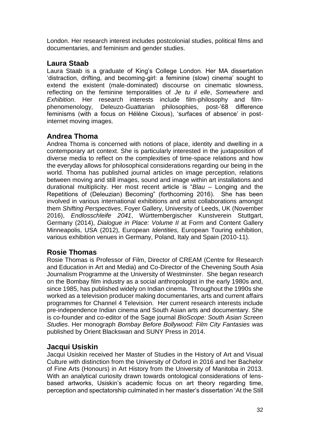London. Her research interest includes postcolonial studies, political films and documentaries, and feminism and gender studies.

## **Laura Staab**

Laura Staab is a graduate of King's College London. Her MA dissertation 'distraction, drifting, and becoming-girl: a feminine (slow) cinema' sought to extend the existent (male-dominated) discourse on cinematic slowness, reflecting on the feminine temporalities of *Je tu il elle*, *Somewhere* and *Exhibition*. Her research interests include film-philosophy and filmphenomenology, Deleuzo-Guattarian philosophies, post-'68 difference feminisms (with a focus on Hélène Cixous), 'surfaces of absence' in postinternet moving images.

# **Andrea Thoma**

Andrea Thoma is concerned with notions of place, identity and dwelling in a contemporary art context. She is particularly interested in the juxtaposition of diverse media to reflect on the complexities of time-space relations and how the everyday allows for philosophical considerations regarding our being in the world. Thoma has published journal articles on image perception, relations between moving and still images, sound and image within art installations and durational multiplicity. Her most recent article is "*Blau* – Longing and the Repetitions of (Deleuzian) Becoming" (forthcoming 2016). She has been involved in various international exhibitions and artist collaborations amongst them *Shifting Perspectives*, Foyer Gallery, University of Leeds, UK (November 2016), *Endlosschleife 2041*, Württembergischer Kunstverein Stuttgart, Germany (2014), *Dialogue in Place: Volume II* at Form and Content Gallery Minneapolis, USA (2012), European *Identities,* European Touring exhibition, various exhibition venues in Germany, Poland, Italy and Spain (2010-11).

# **Rosie Thomas**

Rosie Thomas is Professor of Film, Director of CREAM (Centre for Research and Education in Art and Media) and Co-Director of the Chevening South Asia Journalism Programme at the University of Westminster. She began research on the Bombay film industry as a social anthropologist in the early 1980s and, since 1985, has published widely on Indian cinema. Throughout the 1990s she worked as a television producer making documentaries, arts and current affairs programmes for Channel 4 Television. Her current research interests include pre-independence Indian cinema and South Asian arts and documentary. She is co-founder and co-editor of the Sage journal *BioScope: South Asian Screen Studies*. Her monograph *Bombay Before Bollywood: Film City Fantasies* was published by Orient Blackswan and SUNY Press in 2014.

## **Jacqui Usiskin**

Jacqui Usiskin received her Master of Studies in the History of Art and Visual Culture with distinction from the University of Oxford in 2016 and her Bachelor of Fine Arts (Honours) in Art History from the University of Manitoba in 2013. With an analytical curiosity drawn towards ontological considerations of lensbased artworks, Usiskin's academic focus on art theory regarding time, perception and spectatorship culminated in her master's dissertation 'At the Still